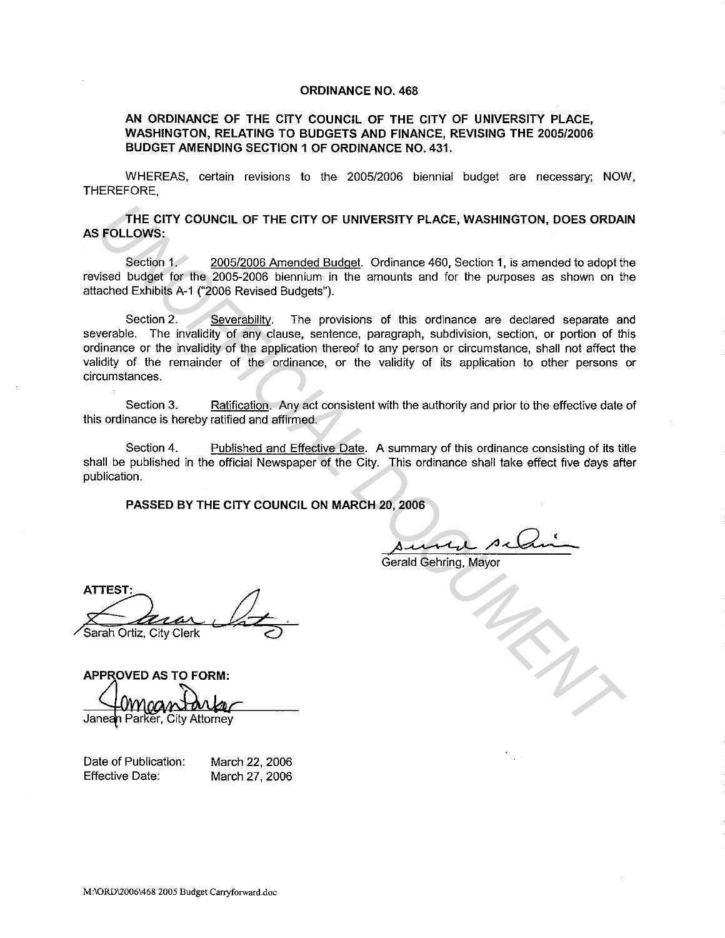## **ORDINANCE NO. 468**

## **AN ORDINANCE OF THE CITY COUNCIL OF THE CITY OF UNIVERSITY PLACE, WASHINGTON, RELATING TO BUDGETS AND FINANCE, REVISING THE 2005/2006 BUDGET AMENDING SECTION 1 OF ORDINANCE NO. 431.**

WHEREAS, certain revisions to the 2005/2006 biennial budget are necessary; NOW, THEREFORE.

**THE CITY COUNCIL OF THE CITY OF UNIVERSITY PLACE, WASHINGTON, DOES ORDAIN AS FOLLOWS:** 

Section 1. 2005/2006 Amended Budget. Ordinance 460, Section 1, is amended to adopt the revised budget for the 2005-2006 biennium in the amounts and for the purposes as shown on the attached Exhibits A-1 ("2006 Revised Budgets").

Section 2. Severability. The provisions of this ordinance are declared separate and severable. The invalidity of any clause, sentence, paragraph, subdivision, section, or portion of this ordinance or the invalidity of the application thereof to any person or circumstance, shall not affect the validity of the remainder of the ordinance, or the validity of its application to other persons or circumstances. THE CITY COUNCIL OF THE CITY OF UNIVERSITY PLACE, WASHINGTON, DOES ORDAL<br>
FOLLOWS:<br>
Section 1, 2005/2006 Amended Budgel. Ordinance 460, Section 1, is amended to adopt the<br>
discrete budget for the 2005-2006 biennium in the

Section 3. Ratification. Any act consistent with the authority and prior to the effective date of this ordinance is hereby ratified and affirmed.

Section 4. Published and Effective Date. A summary of this ordinance consisting of its title shall be published in the official Newspaper of the City. This ordinance shall take effect five days after publication.

**PASSED BY THE CITY COUNCIL ON MARCH 20, 2006** 

sured selain

Gerald Gehring, Mayor

**APPROVED AS TO FORM:** 

Date of Publication: Effective Date: March 22, 2006 March 27, 2006